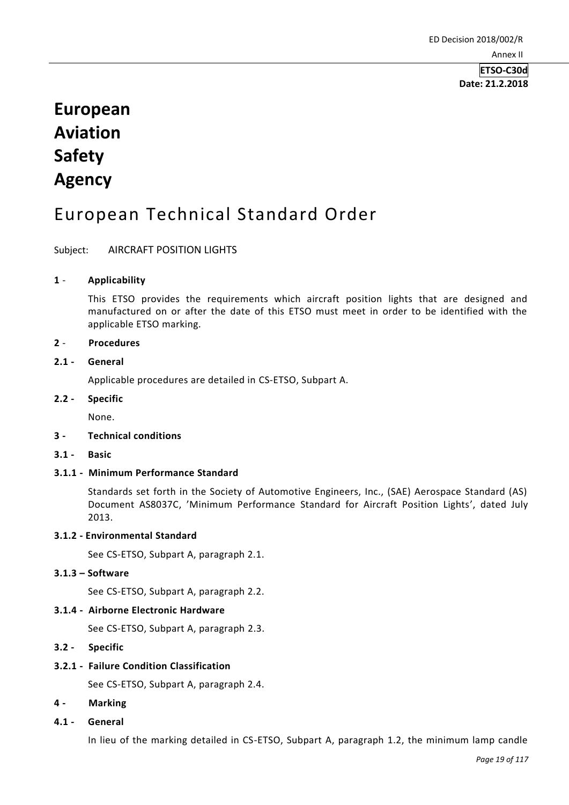# **Date: 21.2.2018**

# **European Aviation Safety Agency**

## European Technical Standard Order

## Subject: AIRCRAFT POSITION LIGHTS

## **1** - **Applicability**

This ETSO provides the requirements which aircraft position lights that are designed and manufactured on or after the date of this ETSO must meet in order to be identified with the applicable ETSO marking.

### **2** - **Procedures**

## **2.1 - General**

Applicable procedures are detailed in CS-ETSO, Subpart A.

## **2.2 - Specific**

None.

## **3 - Technical conditions**

**3.1 - Basic**

## **3.1.1 - Minimum Performance Standard**

Standards set forth in the Society of Automotive Engineers, Inc., (SAE) Aerospace Standard (AS) Document AS8037C, 'Minimum Performance Standard for Aircraft Position Lights', dated July 2013.

### **3.1.2 - Environmental Standard**

See CS-ETSO, Subpart A, paragraph 2.1.

## **3.1.3 – Software**

See CS-ETSO, Subpart A, paragraph 2.2.

### **3.1.4 - Airborne Electronic Hardware**

See CS-ETSO, Subpart A, paragraph 2.3.

## **3.2 - Specific**

## **3.2.1 - Failure Condition Classification**

See CS-ETSO, Subpart A, paragraph 2.4.

### **4 - Marking**

### **4.1 - General**

In lieu of the marking detailed in CS-ETSO, Subpart A, paragraph 1.2, the minimum lamp candle